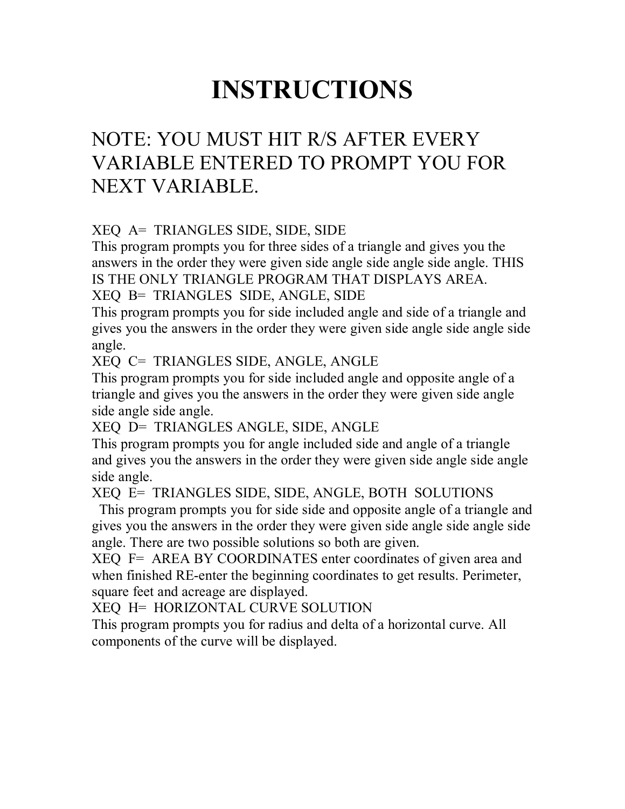# **INSTRUCTIONS**

## NOTE: YOU MUST HIT R/S AFTER EVERY VARIABLE ENTERED TO PROMPT YOU FOR NEXT VARIABLE.

XEQ A= TRIANGLES SIDE, SIDE, SIDE

This program prompts you for three sides of a triangle and gives you the answers in the order they were given side angle side angle side angle. THIS IS THE ONLY TRIANGLE PROGRAM THAT DISPLAYS AREA.

XEQ B= TRIANGLES SIDE, ANGLE, SIDE

This program prompts you for side included angle and side of a triangle and gives you the answers in the order they were given side angle side angle side angle.

XEQ C= TRIANGLES SIDE, ANGLE, ANGLE

This program prompts you for side included angle and opposite angle of a triangle and gives you the answers in the order they were given side angle side angle side angle.

XEQ D= TRIANGLES ANGLE, SIDE, ANGLE

This program prompts you for angle included side and angle of a triangle and gives you the answers in the order they were given side angle side angle side angle.

XEQ E= TRIANGLES SIDE, SIDE, ANGLE, BOTH SOLUTIONS

 This program prompts you for side side and opposite angle of a triangle and gives you the answers in the order they were given side angle side angle side angle. There are two possible solutions so both are given.

XEQ F= AREA BY COORDINATES enter coordinates of given area and when finished RE-enter the beginning coordinates to get results. Perimeter, square feet and acreage are displayed.

XEQ H= HORIZONTAL CURVE SOLUTION

This program prompts you for radius and delta of a horizontal curve. All components of the curve will be displayed.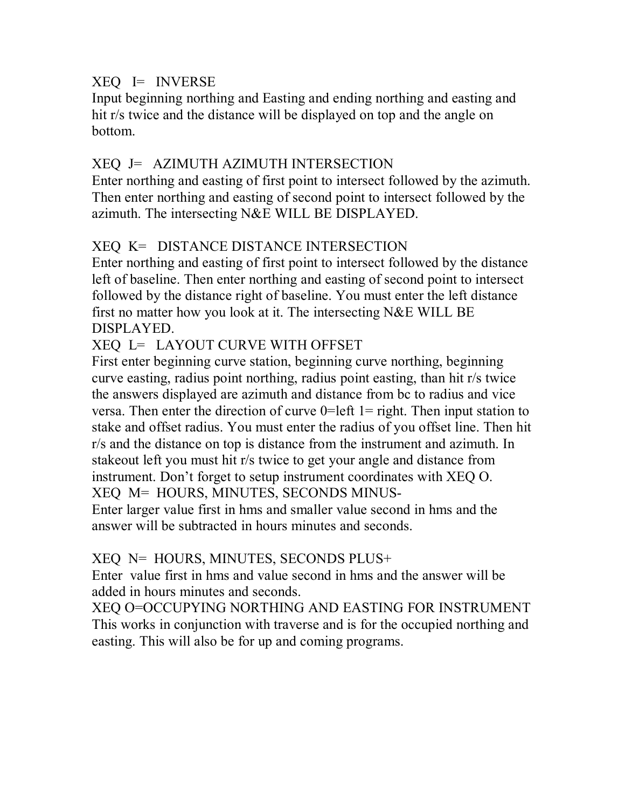### XEQ I= INVERSE

Input beginning northing and Easting and ending northing and easting and hit r/s twice and the distance will be displayed on top and the angle on bottom.

### XEQ J= AZIMUTH AZIMUTH INTERSECTION

Enter northing and easting of first point to intersect followed by the azimuth. Then enter northing and easting of second point to intersect followed by the azimuth. The intersecting N&E WILL BE DISPLAYED.

### XEQ K= DISTANCE DISTANCE INTERSECTION

Enter northing and easting of first point to intersect followed by the distance left of baseline. Then enter northing and easting of second point to intersect followed by the distance right of baseline. You must enter the left distance first no matter how you look at it. The intersecting N&E WILL BE DISPLAYED.

### XEQ L= LAYOUT CURVE WITH OFFSET

First enter beginning curve station, beginning curve northing, beginning curve easting, radius point northing, radius point easting, than hit r/s twice the answers displayed are azimuth and distance from bc to radius and vice versa. Then enter the direction of curve  $0=$  left  $1=$  right. Then input station to stake and offset radius. You must enter the radius of you offset line. Then hit r/s and the distance on top is distance from the instrument and azimuth. In stakeout left you must hit r/s twice to get your angle and distance from instrument. Don't forget to setup instrument coordinates with XEQ O. XEQ M= HOURS, MINUTES, SECONDS MINUS-Enter larger value first in hms and smaller value second in hms and the answer will be subtracted in hours minutes and seconds.

### XEQ N= HOURS, MINUTES, SECONDS PLUS+

Enter value first in hms and value second in hms and the answer will be added in hours minutes and seconds.

XEQ O=OCCUPYING NORTHING AND EASTING FOR INSTRUMENT This works in conjunction with traverse and is for the occupied northing and easting. This will also be for up and coming programs.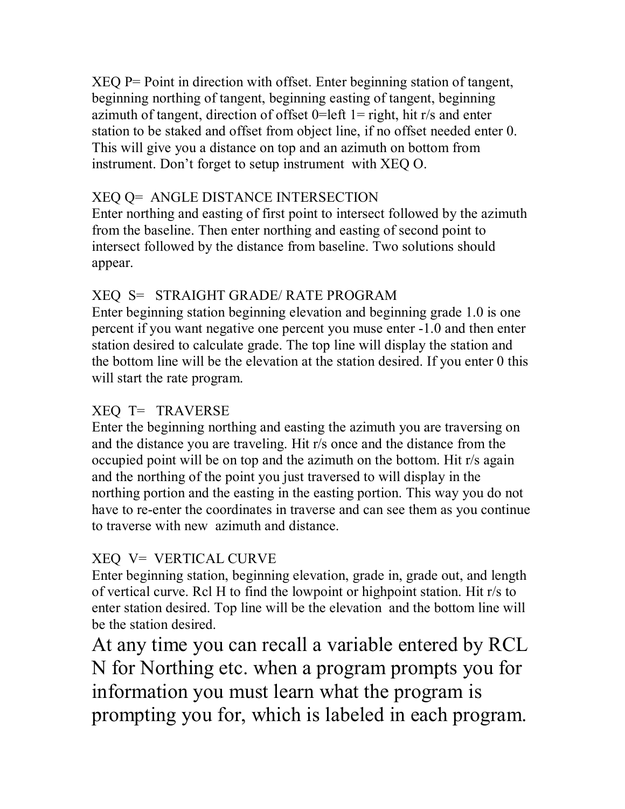XEQ P= Point in direction with offset. Enter beginning station of tangent, beginning northing of tangent, beginning easting of tangent, beginning azimuth of tangent, direction of offset  $0=$ left  $1=$  right, hit r/s and enter station to be staked and offset from object line, if no offset needed enter 0. This will give you a distance on top and an azimuth on bottom from instrument. Don't forget to setup instrument with XEQ O.

### XEQ Q= ANGLE DISTANCE INTERSECTION

Enter northing and easting of first point to intersect followed by the azimuth from the baseline. Then enter northing and easting of second point to intersect followed by the distance from baseline. Two solutions should appear.

### XEQ S= STRAIGHT GRADE/ RATE PROGRAM

Enter beginning station beginning elevation and beginning grade 1.0 is one percent if you want negative one percent you muse enter -1.0 and then enter station desired to calculate grade. The top line will display the station and the bottom line will be the elevation at the station desired. If you enter 0 this will start the rate program.

### XEQ T= TRAVERSE

Enter the beginning northing and easting the azimuth you are traversing on and the distance you are traveling. Hit r/s once and the distance from the occupied point will be on top and the azimuth on the bottom. Hit r/s again and the northing of the point you just traversed to will display in the northing portion and the easting in the easting portion. This way you do not have to re-enter the coordinates in traverse and can see them as you continue to traverse with new azimuth and distance.

### XEQ V= VERTICAL CURVE

Enter beginning station, beginning elevation, grade in, grade out, and length of vertical curve. Rcl H to find the lowpoint or highpoint station. Hit r/s to enter station desired. Top line will be the elevation and the bottom line will be the station desired.

At any time you can recall a variable entered by RCL N for Northing etc. when a program prompts you for information you must learn what the program is prompting you for, which is labeled in each program.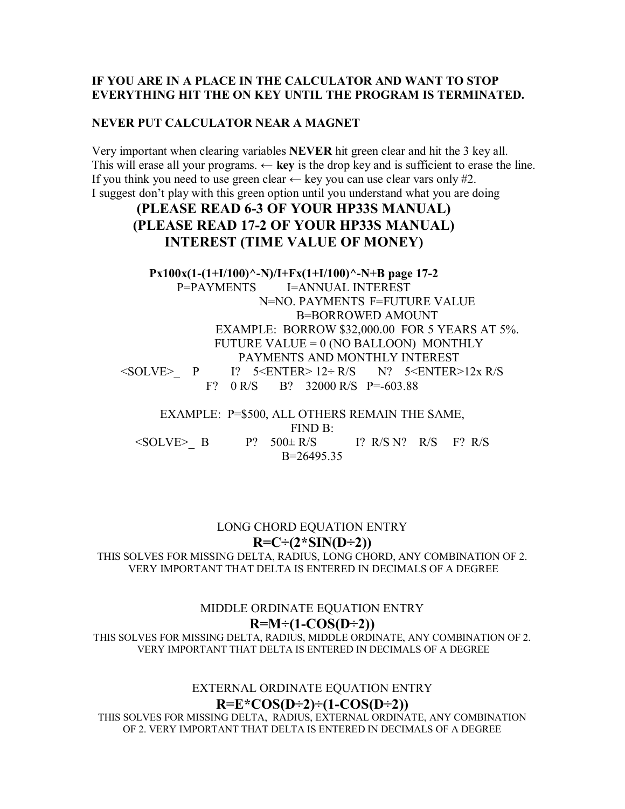#### **IF YOU ARE IN A PLACE IN THE CALCULATOR AND WANT TO STOP EVERYTHING HIT THE ON KEY UNTIL THE PROGRAM IS TERMINATED.**

#### **NEVER PUT CALCULATOR NEAR A MAGNET**

Very important when clearing variables **NEVER** hit green clear and hit the 3 key all. This will erase all your programs.  $\leftarrow$  **key** is the drop key and is sufficient to erase the line. If you think you need to use green clear  $\leftarrow$  key you can use clear vars only #2. I suggest don't play with this green option until you understand what you are doing

### **(PLEASE READ 6-3 OF YOUR HP33S MANUAL) (PLEASE READ 17-2 OF YOUR HP33S MANUAL) INTEREST (TIME VALUE OF MONEY)**

**Px100x(1-(1+I/100)^-N)/I+Fx(1+I/100)^-N+B page 17-2**  P=PAYMENTS I=ANNUAL INTEREST N=NO. PAYMENTS F=FUTURE VALUE B=BORROWED AMOUNT EXAMPLE: BORROW \$32,000.00 FOR 5 YEARS AT 5%. FUTURE VALUE = 0 (NO BALLOON) MONTHLY PAYMENTS AND MONTHLY INTEREST  $\leq$ SOLVE> P I? 5<ENTER> 12÷ R/S N? 5<ENTER>12x R/S F? 0 R/S B? 32000 R/S P=-603.88

EXAMPLE: P=\$500, ALL OTHERS REMAIN THE SAME, FIND B:  $\leq$ SOLVE> B P? 500 $\pm$  R/S I? R/S N? R/S F? R/S B=26495.35

#### LONG CHORD EQUATION ENTRY  $R=C\div(2*SIN(D\div 2))$

THIS SOLVES FOR MISSING DELTA, RADIUS, LONG CHORD, ANY COMBINATION OF 2. VERY IMPORTANT THAT DELTA IS ENTERED IN DECIMALS OF A DEGREE

#### MIDDLE ORDINATE EQUATION ENTRY  $R=M\div(1-COS(D\div2))$

THIS SOLVES FOR MISSING DELTA, RADIUS, MIDDLE ORDINATE, ANY COMBINATION OF 2. VERY IMPORTANT THAT DELTA IS ENTERED IN DECIMALS OF A DEGREE

> EXTERNAL ORDINATE EQUATION ENTRY  $R=E*COS(D\div 2) \div (1-COS(D\div 2))$

THIS SOLVES FOR MISSING DELTA, RADIUS, EXTERNAL ORDINATE, ANY COMBINATION OF 2. VERY IMPORTANT THAT DELTA IS ENTERED IN DECIMALS OF A DEGREE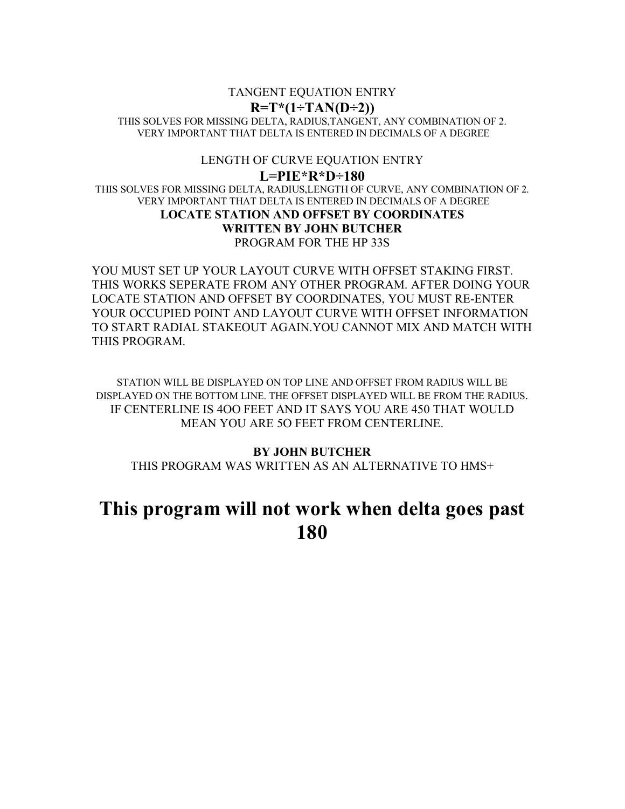#### TANGENT EQUATION ENTRY  $R=T*(1+TAN(D+2))$ THIS SOLVES FOR MISSING DELTA, RADIUS,TANGENT, ANY COMBINATION OF 2. VERY IMPORTANT THAT DELTA IS ENTERED IN DECIMALS OF A DEGREE

#### LENGTH OF CURVE EQUATION ENTRY

**L=PIE\*R\*D˜180**  THIS SOLVES FOR MISSING DELTA, RADIUS,LENGTH OF CURVE, ANY COMBINATION OF 2. VERY IMPORTANT THAT DELTA IS ENTERED IN DECIMALS OF A DEGREE **LOCATE STATION AND OFFSET BY COORDINATES WRITTEN BY JOHN BUTCHER**  PROGRAM FOR THE HP 33S

YOU MUST SET UP YOUR LAYOUT CURVE WITH OFFSET STAKING FIRST. THIS WORKS SEPERATE FROM ANY OTHER PROGRAM. AFTER DOING YOUR LOCATE STATION AND OFFSET BY COORDINATES, YOU MUST RE-ENTER YOUR OCCUPIED POINT AND LAYOUT CURVE WITH OFFSET INFORMATION TO START RADIAL STAKEOUT AGAIN.YOU CANNOT MIX AND MATCH WITH THIS PROGRAM.

STATION WILL BE DISPLAYED ON TOP LINE AND OFFSET FROM RADIUS WILL BE DISPLAYED ON THE BOTTOM LINE. THE OFFSET DISPLAYED WILL BE FROM THE RADIUS. IF CENTERLINE IS 4OO FEET AND IT SAYS YOU ARE 450 THAT WOULD MEAN YOU ARE 5O FEET FROM CENTERLINE.

#### **BY JOHN BUTCHER**

THIS PROGRAM WAS WRITTEN AS AN ALTERNATIVE TO HMS+

### **This program will not work when delta goes past 180**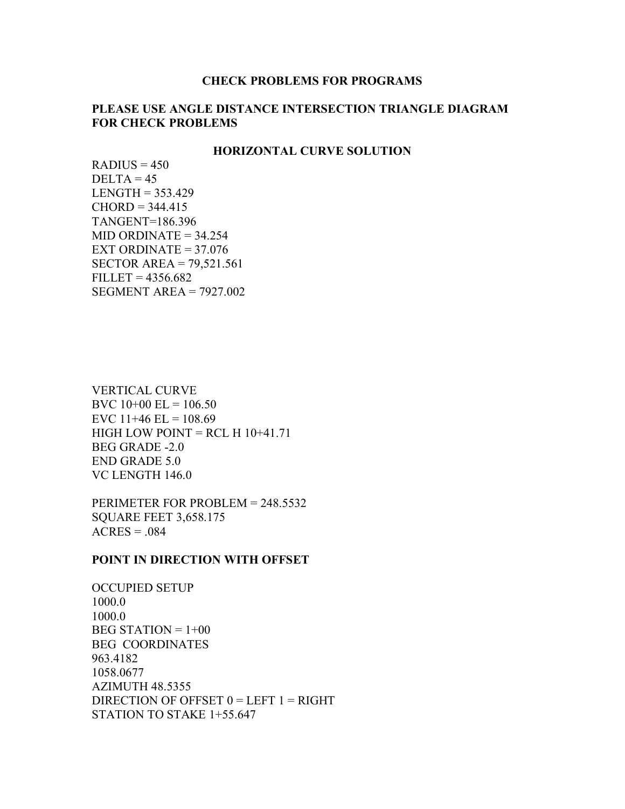#### **CHECK PROBLEMS FOR PROGRAMS**

#### **PLEASE USE ANGLE DISTANCE INTERSECTION TRIANGLE DIAGRAM FOR CHECK PROBLEMS**

#### **HORIZONTAL CURVE SOLUTION**

 $RADIUS = 450$  $DELTA = 45$  $LENGTH = 353.429$  $CHORD = 344.415$ TANGENT=186.396  $MID$  ORDINATE = 34.254 EXT ORDINATE  $= 37.076$ SECTOR AREA = 79,521.561  $FILLET = 4356.682$ SEGMENT AREA = 7927.002

VERTICAL CURVE BVC  $10+00$  EL =  $106.50$ EVC  $11+46$  EL =  $108.69$ HIGH LOW POINT = RCL H  $10+41.71$ BEG GRADE -2.0 END GRADE 5.0 VC LENGTH 146.0

PERIMETER FOR PROBLEM = 248.5532 SQUARE FEET 3,658.175  $ACRES = .084$ 

#### **POINT IN DIRECTION WITH OFFSET**

OCCUPIED SETUP 1000.0 1000.0  $BEG$  STATION =  $1+00$ BEG COORDINATES 963.4182 1058.0677 AZIMUTH 48.5355 DIRECTION OF OFFSET  $0 = LEFT 1 = RIGHT$ STATION TO STAKE 1+55.647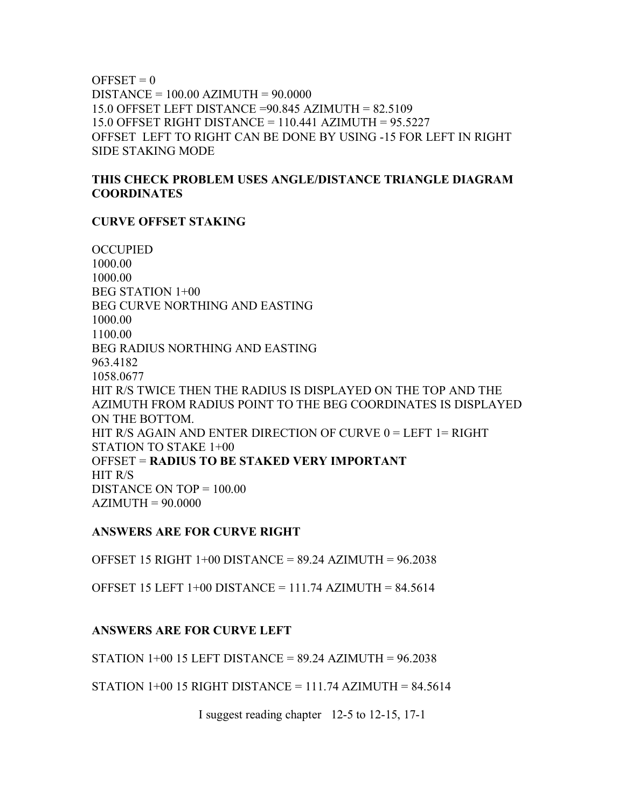$OFFSET = 0$ DISTANCE = 100.00 AZIMUTH = 90.0000 15.0 OFFSET LEFT DISTANCE =90.845 AZIMUTH = 82.5109 15.0 OFFSET RIGHT DISTANCE = 110.441 AZIMUTH = 95.5227 OFFSET LEFT TO RIGHT CAN BE DONE BY USING -15 FOR LEFT IN RIGHT SIDE STAKING MODE

#### **THIS CHECK PROBLEM USES ANGLE/DISTANCE TRIANGLE DIAGRAM COORDINATES**

#### **CURVE OFFSET STAKING**

**OCCUPIED** 1000.00 1000.00 BEG STATION 1+00 BEG CURVE NORTHING AND EASTING 1000.00 1100.00 BEG RADIUS NORTHING AND EASTING 963.4182 1058.0677 HIT R/S TWICE THEN THE RADIUS IS DISPLAYED ON THE TOP AND THE AZIMUTH FROM RADIUS POINT TO THE BEG COORDINATES IS DISPLAYED ON THE BOTTOM. HIT R/S AGAIN AND ENTER DIRECTION OF CURVE 0 = LEFT 1 = RIGHT STATION TO STAKE 1+00 OFFSET = **RADIUS TO BE STAKED VERY IMPORTANT** HIT R/S DISTANCE ON TOP = 100.00  $AZIMUTH = 90.0000$ 

#### **ANSWERS ARE FOR CURVE RIGHT**

OFFSET 15 RIGHT  $1+00$  DISTANCE = 89.24 AZIMUTH = 96.2038

OFFSET 15 LEFT 1+00 DISTANCE = 111.74 AZIMUTH = 84.5614

#### **ANSWERS ARE FOR CURVE LEFT**

STATION  $1+00$  15 LEFT DISTANCE = 89.24 AZIMUTH = 96.2038

STATION  $1+00$  15 RIGHT DISTANCE = 111.74 AZIMUTH = 84.5614

I suggest reading chapter 12-5 to 12-15, 17-1